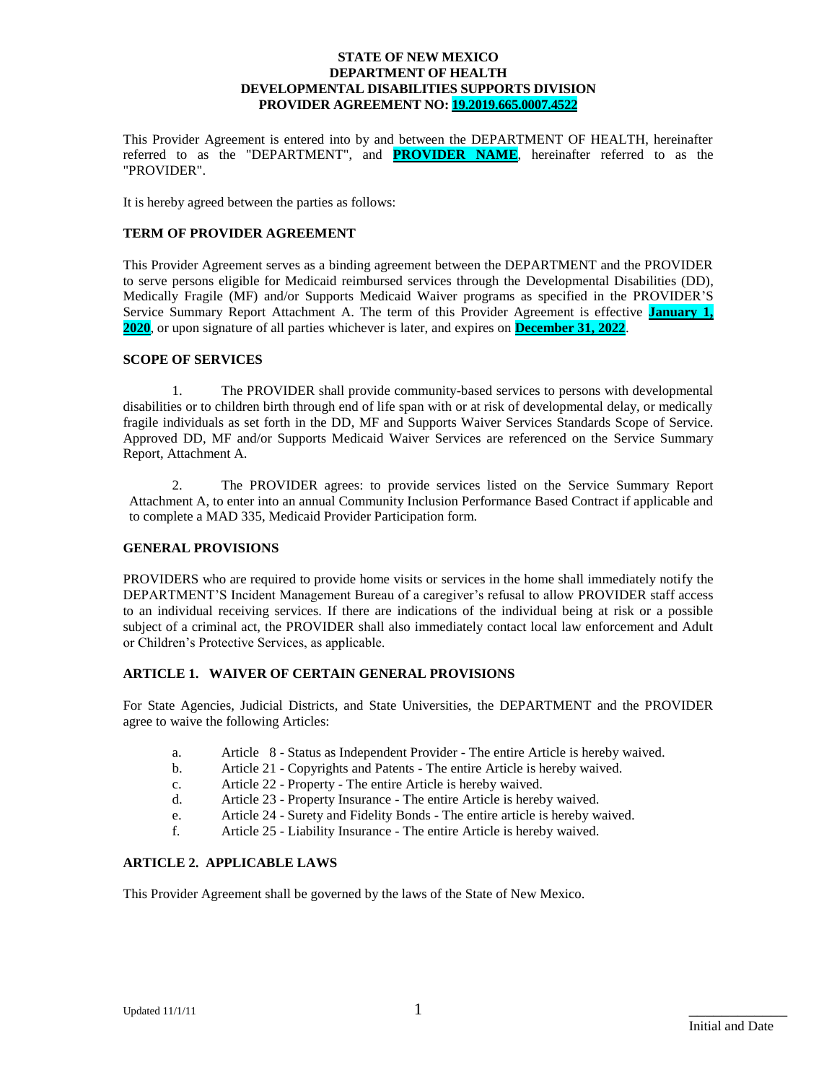This Provider Agreement is entered into by and between the DEPARTMENT OF HEALTH, hereinafter referred to as the "DEPARTMENT", and **PROVIDER NAME**, hereinafter referred to as the "PROVIDER".

It is hereby agreed between the parties as follows:

#### **TERM OF PROVIDER AGREEMENT**

This Provider Agreement serves as a binding agreement between the DEPARTMENT and the PROVIDER to serve persons eligible for Medicaid reimbursed services through the Developmental Disabilities (DD), Medically Fragile (MF) and/or Supports Medicaid Waiver programs as specified in the PROVIDER'S Service Summary Report Attachment A. The term of this Provider Agreement is effective **January 1, 2020**, or upon signature of all parties whichever is later, and expires on **December 31, 2022**.

#### **SCOPE OF SERVICES**

1. The PROVIDER shall provide community-based services to persons with developmental disabilities or to children birth through end of life span with or at risk of developmental delay, or medically fragile individuals as set forth in the DD, MF and Supports Waiver Services Standards Scope of Service. Approved DD, MF and/or Supports Medicaid Waiver Services are referenced on the Service Summary Report, Attachment A.

2. The PROVIDER agrees: to provide services listed on the Service Summary Report Attachment A, to enter into an annual Community Inclusion Performance Based Contract if applicable and to complete a MAD 335, Medicaid Provider Participation form.

#### **GENERAL PROVISIONS**

PROVIDERS who are required to provide home visits or services in the home shall immediately notify the DEPARTMENT'S Incident Management Bureau of a caregiver's refusal to allow PROVIDER staff access to an individual receiving services. If there are indications of the individual being at risk or a possible subject of a criminal act, the PROVIDER shall also immediately contact local law enforcement and Adult or Children's Protective Services, as applicable.

#### **ARTICLE 1. WAIVER OF CERTAIN GENERAL PROVISIONS**

For State Agencies, Judicial Districts, and State Universities, the DEPARTMENT and the PROVIDER agree to waive the following Articles:

- a. Article 8 Status as Independent Provider The entire Article is hereby waived.
- b. Article 21 Copyrights and Patents The entire Article is hereby waived.
- c. Article 22 Property The entire Article is hereby waived.
- d. Article 23 Property Insurance The entire Article is hereby waived.
- e. Article 24 Surety and Fidelity Bonds The entire article is hereby waived.
- f. Article 25 Liability Insurance The entire Article is hereby waived.

#### **ARTICLE 2. APPLICABLE LAWS**

This Provider Agreement shall be governed by the laws of the State of New Mexico.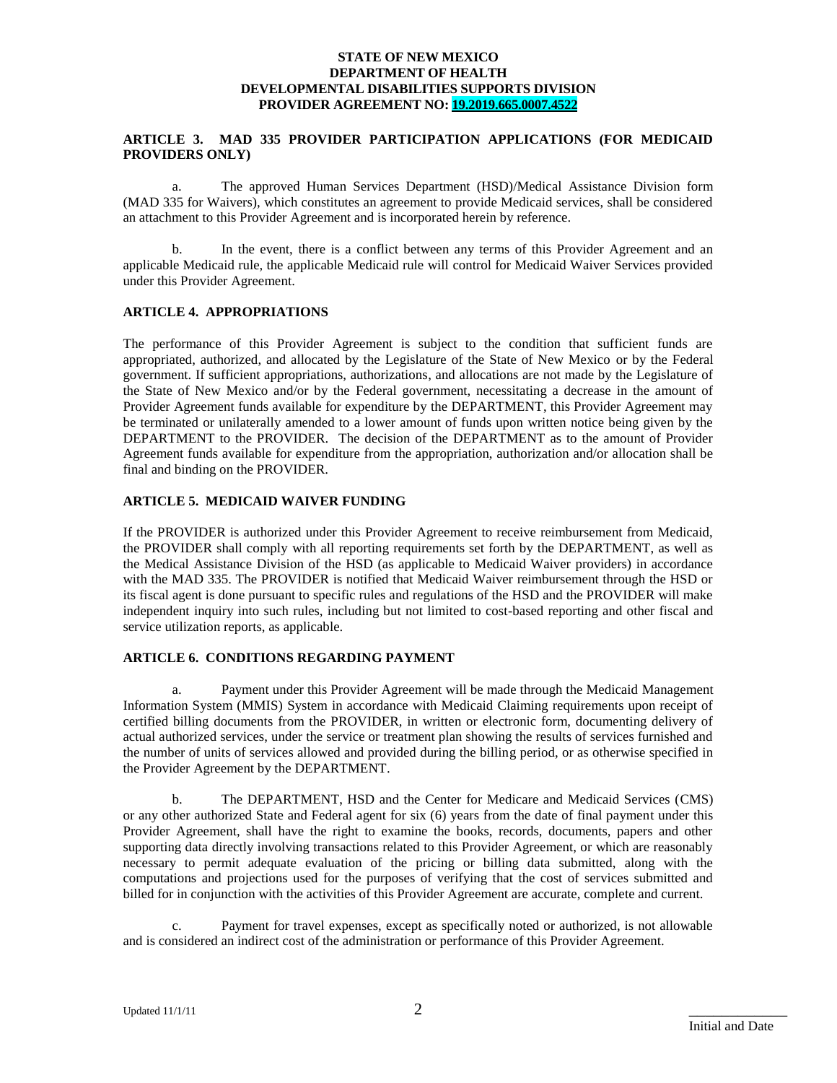#### **ARTICLE 3. MAD 335 PROVIDER PARTICIPATION APPLICATIONS (FOR MEDICAID PROVIDERS ONLY)**

a. The approved Human Services Department (HSD)/Medical Assistance Division form (MAD 335 for Waivers), which constitutes an agreement to provide Medicaid services, shall be considered an attachment to this Provider Agreement and is incorporated herein by reference.

b. In the event, there is a conflict between any terms of this Provider Agreement and an applicable Medicaid rule, the applicable Medicaid rule will control for Medicaid Waiver Services provided under this Provider Agreement.

#### **ARTICLE 4. APPROPRIATIONS**

The performance of this Provider Agreement is subject to the condition that sufficient funds are appropriated, authorized, and allocated by the Legislature of the State of New Mexico or by the Federal government. If sufficient appropriations, authorizations, and allocations are not made by the Legislature of the State of New Mexico and/or by the Federal government, necessitating a decrease in the amount of Provider Agreement funds available for expenditure by the DEPARTMENT, this Provider Agreement may be terminated or unilaterally amended to a lower amount of funds upon written notice being given by the DEPARTMENT to the PROVIDER. The decision of the DEPARTMENT as to the amount of Provider Agreement funds available for expenditure from the appropriation, authorization and/or allocation shall be final and binding on the PROVIDER.

#### **ARTICLE 5. MEDICAID WAIVER FUNDING**

If the PROVIDER is authorized under this Provider Agreement to receive reimbursement from Medicaid, the PROVIDER shall comply with all reporting requirements set forth by the DEPARTMENT, as well as the Medical Assistance Division of the HSD (as applicable to Medicaid Waiver providers) in accordance with the MAD 335. The PROVIDER is notified that Medicaid Waiver reimbursement through the HSD or its fiscal agent is done pursuant to specific rules and regulations of the HSD and the PROVIDER will make independent inquiry into such rules, including but not limited to cost-based reporting and other fiscal and service utilization reports, as applicable.

#### **ARTICLE 6. CONDITIONS REGARDING PAYMENT**

a. Payment under this Provider Agreement will be made through the Medicaid Management Information System (MMIS) System in accordance with Medicaid Claiming requirements upon receipt of certified billing documents from the PROVIDER, in written or electronic form, documenting delivery of actual authorized services, under the service or treatment plan showing the results of services furnished and the number of units of services allowed and provided during the billing period, or as otherwise specified in the Provider Agreement by the DEPARTMENT.

b. The DEPARTMENT, HSD and the Center for Medicare and Medicaid Services (CMS) or any other authorized State and Federal agent for six (6) years from the date of final payment under this Provider Agreement, shall have the right to examine the books, records, documents, papers and other supporting data directly involving transactions related to this Provider Agreement, or which are reasonably necessary to permit adequate evaluation of the pricing or billing data submitted, along with the computations and projections used for the purposes of verifying that the cost of services submitted and billed for in conjunction with the activities of this Provider Agreement are accurate, complete and current.

c. Payment for travel expenses, except as specifically noted or authorized, is not allowable and is considered an indirect cost of the administration or performance of this Provider Agreement.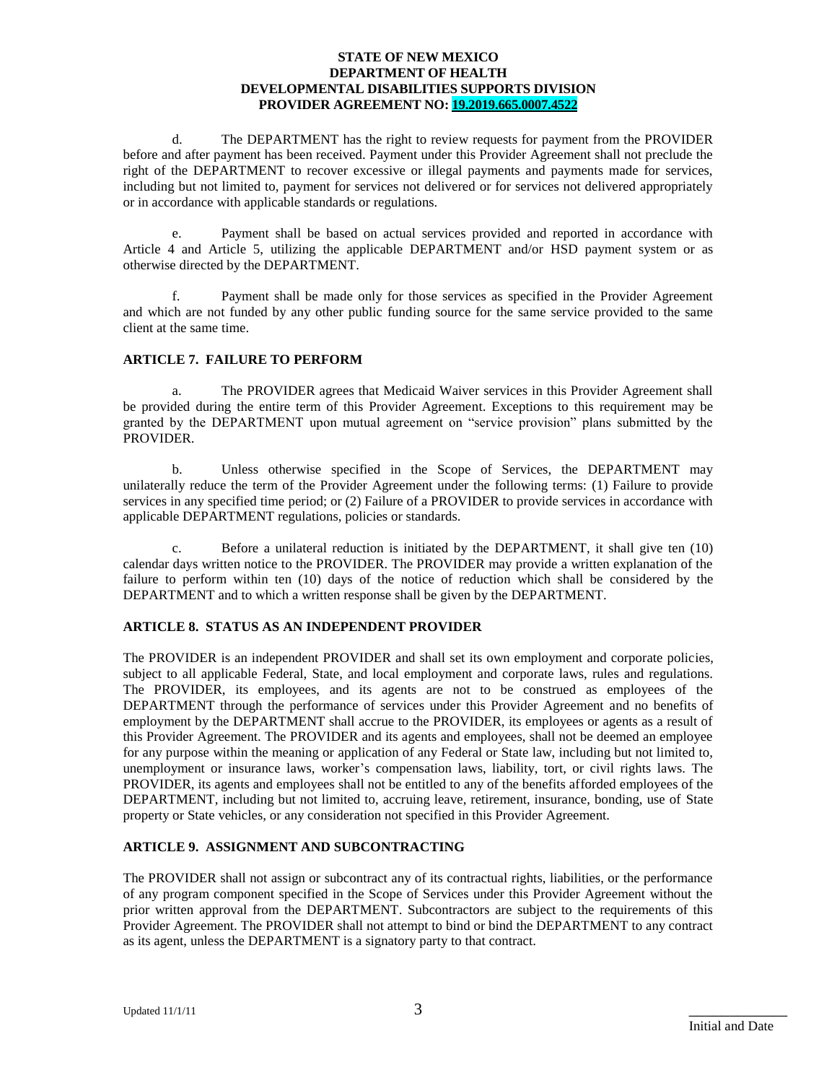d. The DEPARTMENT has the right to review requests for payment from the PROVIDER before and after payment has been received. Payment under this Provider Agreement shall not preclude the right of the DEPARTMENT to recover excessive or illegal payments and payments made for services, including but not limited to, payment for services not delivered or for services not delivered appropriately or in accordance with applicable standards or regulations.

e. Payment shall be based on actual services provided and reported in accordance with Article 4 and Article 5, utilizing the applicable DEPARTMENT and/or HSD payment system or as otherwise directed by the DEPARTMENT.

f. Payment shall be made only for those services as specified in the Provider Agreement and which are not funded by any other public funding source for the same service provided to the same client at the same time.

#### **ARTICLE 7. FAILURE TO PERFORM**

a. The PROVIDER agrees that Medicaid Waiver services in this Provider Agreement shall be provided during the entire term of this Provider Agreement. Exceptions to this requirement may be granted by the DEPARTMENT upon mutual agreement on "service provision" plans submitted by the PROVIDER.

b. Unless otherwise specified in the Scope of Services, the DEPARTMENT may unilaterally reduce the term of the Provider Agreement under the following terms: (1) Failure to provide services in any specified time period; or (2) Failure of a PROVIDER to provide services in accordance with applicable DEPARTMENT regulations, policies or standards.

c. Before a unilateral reduction is initiated by the DEPARTMENT, it shall give ten (10) calendar days written notice to the PROVIDER. The PROVIDER may provide a written explanation of the failure to perform within ten (10) days of the notice of reduction which shall be considered by the DEPARTMENT and to which a written response shall be given by the DEPARTMENT.

#### **ARTICLE 8. STATUS AS AN INDEPENDENT PROVIDER**

The PROVIDER is an independent PROVIDER and shall set its own employment and corporate policies, subject to all applicable Federal, State, and local employment and corporate laws, rules and regulations. The PROVIDER, its employees, and its agents are not to be construed as employees of the DEPARTMENT through the performance of services under this Provider Agreement and no benefits of employment by the DEPARTMENT shall accrue to the PROVIDER, its employees or agents as a result of this Provider Agreement. The PROVIDER and its agents and employees, shall not be deemed an employee for any purpose within the meaning or application of any Federal or State law, including but not limited to, unemployment or insurance laws, worker's compensation laws, liability, tort, or civil rights laws. The PROVIDER, its agents and employees shall not be entitled to any of the benefits afforded employees of the DEPARTMENT, including but not limited to, accruing leave, retirement, insurance, bonding, use of State property or State vehicles, or any consideration not specified in this Provider Agreement.

#### **ARTICLE 9. ASSIGNMENT AND SUBCONTRACTING**

The PROVIDER shall not assign or subcontract any of its contractual rights, liabilities, or the performance of any program component specified in the Scope of Services under this Provider Agreement without the prior written approval from the DEPARTMENT. Subcontractors are subject to the requirements of this Provider Agreement. The PROVIDER shall not attempt to bind or bind the DEPARTMENT to any contract as its agent, unless the DEPARTMENT is a signatory party to that contract.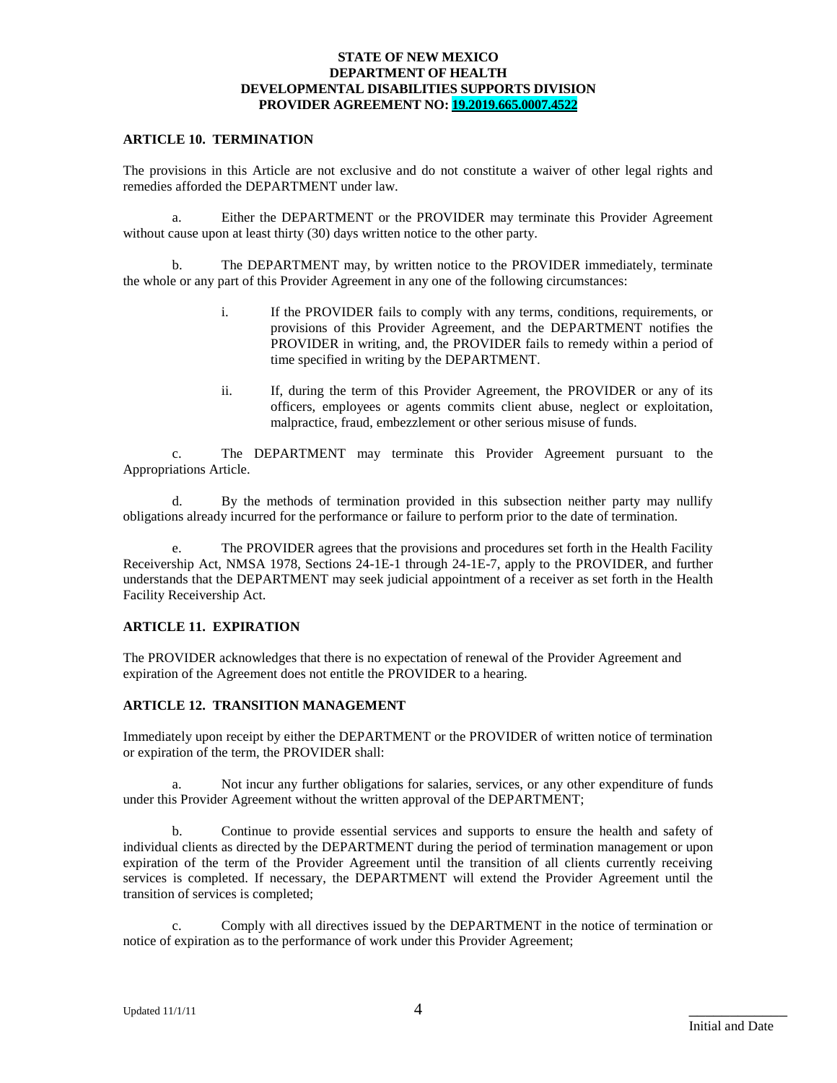#### **ARTICLE 10. TERMINATION**

The provisions in this Article are not exclusive and do not constitute a waiver of other legal rights and remedies afforded the DEPARTMENT under law.

a. Either the DEPARTMENT or the PROVIDER may terminate this Provider Agreement without cause upon at least thirty (30) days written notice to the other party.

b. The DEPARTMENT may, by written notice to the PROVIDER immediately, terminate the whole or any part of this Provider Agreement in any one of the following circumstances:

- i. If the PROVIDER fails to comply with any terms, conditions, requirements, or provisions of this Provider Agreement, and the DEPARTMENT notifies the PROVIDER in writing, and, the PROVIDER fails to remedy within a period of time specified in writing by the DEPARTMENT.
- ii. If, during the term of this Provider Agreement, the PROVIDER or any of its officers, employees or agents commits client abuse, neglect or exploitation, malpractice, fraud, embezzlement or other serious misuse of funds.

c. The DEPARTMENT may terminate this Provider Agreement pursuant to the Appropriations Article.

d. By the methods of termination provided in this subsection neither party may nullify obligations already incurred for the performance or failure to perform prior to the date of termination.

e. The PROVIDER agrees that the provisions and procedures set forth in the Health Facility Receivership Act, NMSA 1978, Sections 24-1E-1 through 24-1E-7, apply to the PROVIDER, and further understands that the DEPARTMENT may seek judicial appointment of a receiver as set forth in the Health Facility Receivership Act.

#### **ARTICLE 11. EXPIRATION**

The PROVIDER acknowledges that there is no expectation of renewal of the Provider Agreement and expiration of the Agreement does not entitle the PROVIDER to a hearing.

#### **ARTICLE 12. TRANSITION MANAGEMENT**

Immediately upon receipt by either the DEPARTMENT or the PROVIDER of written notice of termination or expiration of the term, the PROVIDER shall:

a. Not incur any further obligations for salaries, services, or any other expenditure of funds under this Provider Agreement without the written approval of the DEPARTMENT;

b. Continue to provide essential services and supports to ensure the health and safety of individual clients as directed by the DEPARTMENT during the period of termination management or upon expiration of the term of the Provider Agreement until the transition of all clients currently receiving services is completed. If necessary, the DEPARTMENT will extend the Provider Agreement until the transition of services is completed;

c. Comply with all directives issued by the DEPARTMENT in the notice of termination or notice of expiration as to the performance of work under this Provider Agreement;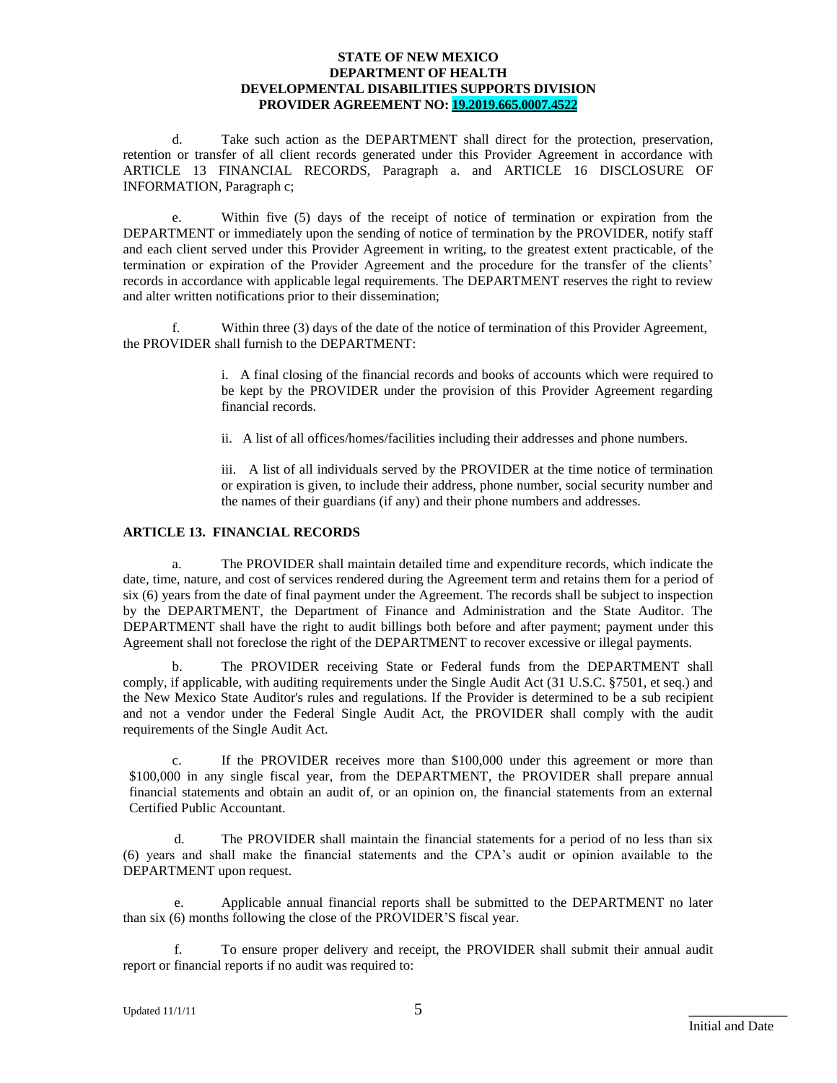d. Take such action as the DEPARTMENT shall direct for the protection, preservation, retention or transfer of all client records generated under this Provider Agreement in accordance with ARTICLE 13 FINANCIAL RECORDS, Paragraph a. and ARTICLE 16 DISCLOSURE OF INFORMATION, Paragraph c;

e. Within five (5) days of the receipt of notice of termination or expiration from the DEPARTMENT or immediately upon the sending of notice of termination by the PROVIDER, notify staff and each client served under this Provider Agreement in writing, to the greatest extent practicable, of the termination or expiration of the Provider Agreement and the procedure for the transfer of the clients' records in accordance with applicable legal requirements. The DEPARTMENT reserves the right to review and alter written notifications prior to their dissemination;

f. Within three (3) days of the date of the notice of termination of this Provider Agreement, the PROVIDER shall furnish to the DEPARTMENT:

> i. A final closing of the financial records and books of accounts which were required to be kept by the PROVIDER under the provision of this Provider Agreement regarding financial records.

ii. A list of all offices/homes/facilities including their addresses and phone numbers.

iii. A list of all individuals served by the PROVIDER at the time notice of termination or expiration is given, to include their address, phone number, social security number and the names of their guardians (if any) and their phone numbers and addresses.

#### **ARTICLE 13. FINANCIAL RECORDS**

a. The PROVIDER shall maintain detailed time and expenditure records, which indicate the date, time, nature, and cost of services rendered during the Agreement term and retains them for a period of six (6) years from the date of final payment under the Agreement. The records shall be subject to inspection by the DEPARTMENT, the Department of Finance and Administration and the State Auditor. The DEPARTMENT shall have the right to audit billings both before and after payment; payment under this Agreement shall not foreclose the right of the DEPARTMENT to recover excessive or illegal payments.

b. The PROVIDER receiving State or Federal funds from the DEPARTMENT shall comply, if applicable, with auditing requirements under the Single Audit Act (31 U.S.C. §7501, et seq.) and the New Mexico State Auditor's rules and regulations. If the Provider is determined to be a sub recipient and not a vendor under the Federal Single Audit Act, the PROVIDER shall comply with the audit requirements of the Single Audit Act.

c. If the PROVIDER receives more than \$100,000 under this agreement or more than \$100,000 in any single fiscal year, from the DEPARTMENT, the PROVIDER shall prepare annual financial statements and obtain an audit of, or an opinion on, the financial statements from an external Certified Public Accountant.

d. The PROVIDER shall maintain the financial statements for a period of no less than six (6) years and shall make the financial statements and the CPA's audit or opinion available to the DEPARTMENT upon request.

e. Applicable annual financial reports shall be submitted to the DEPARTMENT no later than six (6) months following the close of the PROVIDER'S fiscal year.

f. To ensure proper delivery and receipt, the PROVIDER shall submit their annual audit report or financial reports if no audit was required to: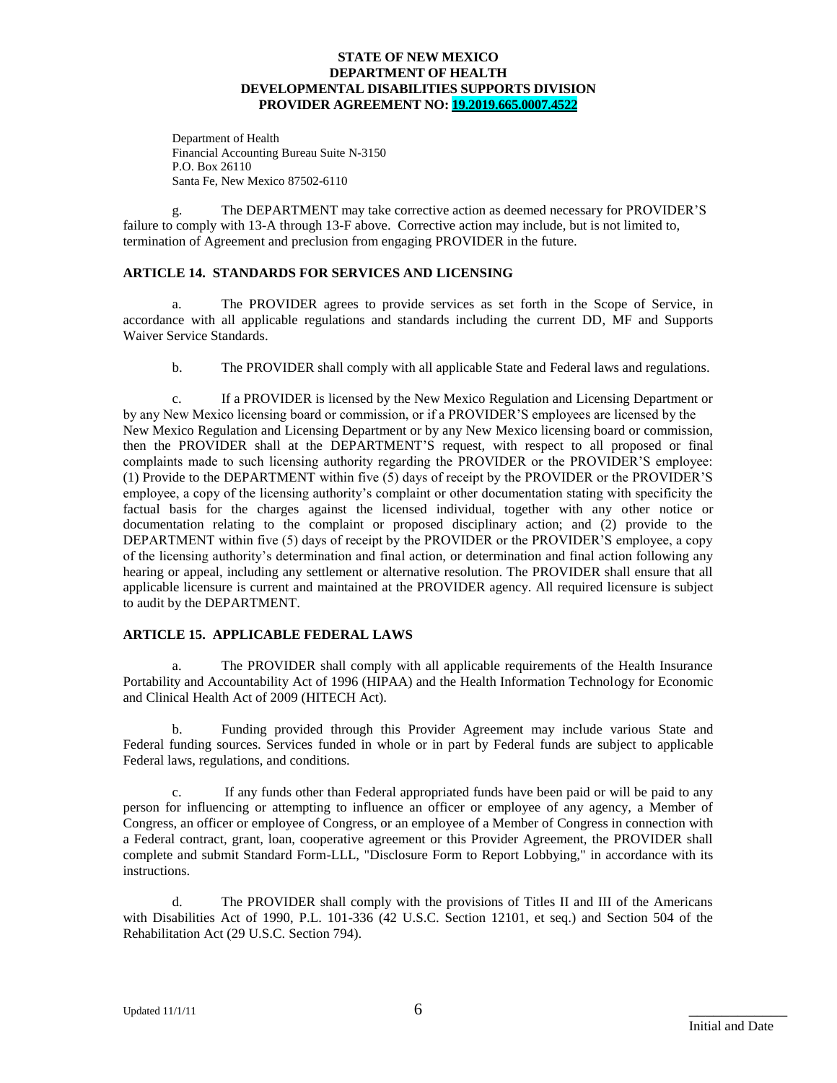Department of Health Financial Accounting Bureau Suite N-3150 P.O. Box 26110 Santa Fe, New Mexico 87502-6110

g. The DEPARTMENT may take corrective action as deemed necessary for PROVIDER'S failure to comply with 13-A through 13-F above. Corrective action may include, but is not limited to, termination of Agreement and preclusion from engaging PROVIDER in the future.

#### **ARTICLE 14. STANDARDS FOR SERVICES AND LICENSING**

a. The PROVIDER agrees to provide services as set forth in the Scope of Service, in accordance with all applicable regulations and standards including the current DD, MF and Supports Waiver Service Standards.

b. The PROVIDER shall comply with all applicable State and Federal laws and regulations.

c. If a PROVIDER is licensed by the New Mexico Regulation and Licensing Department or by any New Mexico licensing board or commission, or if a PROVIDER'S employees are licensed by the New Mexico Regulation and Licensing Department or by any New Mexico licensing board or commission, then the PROVIDER shall at the DEPARTMENT'S request, with respect to all proposed or final complaints made to such licensing authority regarding the PROVIDER or the PROVIDER'S employee: (1) Provide to the DEPARTMENT within five (5) days of receipt by the PROVIDER or the PROVIDER'S employee, a copy of the licensing authority's complaint or other documentation stating with specificity the factual basis for the charges against the licensed individual, together with any other notice or documentation relating to the complaint or proposed disciplinary action; and (2) provide to the DEPARTMENT within five (5) days of receipt by the PROVIDER or the PROVIDER'S employee, a copy of the licensing authority's determination and final action, or determination and final action following any hearing or appeal, including any settlement or alternative resolution. The PROVIDER shall ensure that all applicable licensure is current and maintained at the PROVIDER agency. All required licensure is subject to audit by the DEPARTMENT.

### **ARTICLE 15. APPLICABLE FEDERAL LAWS**

a. The PROVIDER shall comply with all applicable requirements of the Health Insurance Portability and Accountability Act of 1996 (HIPAA) and the Health Information Technology for Economic and Clinical Health Act of 2009 (HITECH Act).

b. Funding provided through this Provider Agreement may include various State and Federal funding sources. Services funded in whole or in part by Federal funds are subject to applicable Federal laws, regulations, and conditions.

c. If any funds other than Federal appropriated funds have been paid or will be paid to any person for influencing or attempting to influence an officer or employee of any agency, a Member of Congress, an officer or employee of Congress, or an employee of a Member of Congress in connection with a Federal contract, grant, loan, cooperative agreement or this Provider Agreement, the PROVIDER shall complete and submit Standard Form-LLL, "Disclosure Form to Report Lobbying," in accordance with its instructions.

d. The PROVIDER shall comply with the provisions of Titles II and III of the Americans with Disabilities Act of 1990, P.L. 101-336 (42 U.S.C. Section 12101, et seq.) and Section 504 of the Rehabilitation Act (29 U.S.C. Section 794).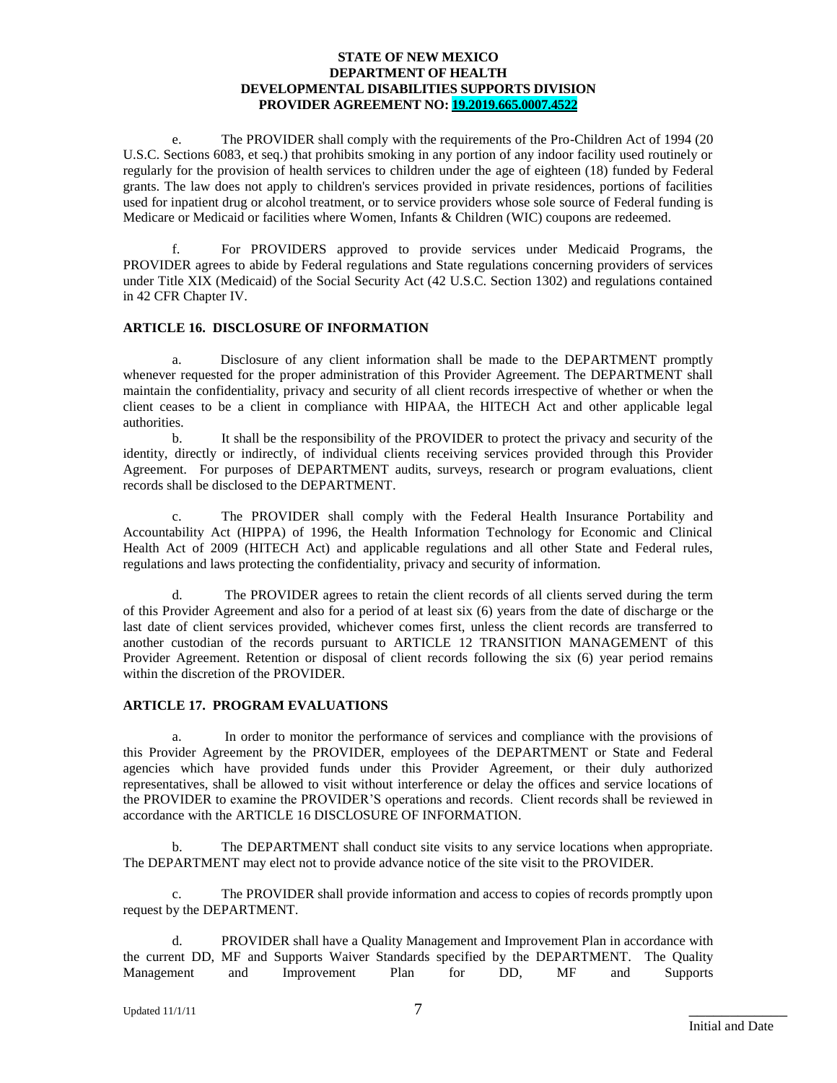e. The PROVIDER shall comply with the requirements of the Pro-Children Act of 1994 (20 U.S.C. Sections 6083, et seq.) that prohibits smoking in any portion of any indoor facility used routinely or regularly for the provision of health services to children under the age of eighteen (18) funded by Federal grants. The law does not apply to children's services provided in private residences, portions of facilities used for inpatient drug or alcohol treatment, or to service providers whose sole source of Federal funding is Medicare or Medicaid or facilities where Women, Infants & Children (WIC) coupons are redeemed.

f. For PROVIDERS approved to provide services under Medicaid Programs, the PROVIDER agrees to abide by Federal regulations and State regulations concerning providers of services under Title XIX (Medicaid) of the Social Security Act (42 U.S.C. Section 1302) and regulations contained in 42 CFR Chapter IV.

#### **ARTICLE 16. DISCLOSURE OF INFORMATION**

a. Disclosure of any client information shall be made to the DEPARTMENT promptly whenever requested for the proper administration of this Provider Agreement. The DEPARTMENT shall maintain the confidentiality, privacy and security of all client records irrespective of whether or when the client ceases to be a client in compliance with HIPAA, the HITECH Act and other applicable legal authorities.

b. It shall be the responsibility of the PROVIDER to protect the privacy and security of the identity, directly or indirectly, of individual clients receiving services provided through this Provider Agreement. For purposes of DEPARTMENT audits, surveys, research or program evaluations, client records shall be disclosed to the DEPARTMENT.

c. The PROVIDER shall comply with the Federal Health Insurance Portability and Accountability Act (HIPPA) of 1996, the Health Information Technology for Economic and Clinical Health Act of 2009 (HITECH Act) and applicable regulations and all other State and Federal rules, regulations and laws protecting the confidentiality, privacy and security of information.

d. The PROVIDER agrees to retain the client records of all clients served during the term of this Provider Agreement and also for a period of at least six (6) years from the date of discharge or the last date of client services provided, whichever comes first, unless the client records are transferred to another custodian of the records pursuant to ARTICLE 12 TRANSITION MANAGEMENT of this Provider Agreement. Retention or disposal of client records following the six (6) year period remains within the discretion of the PROVIDER.

### **ARTICLE 17. PROGRAM EVALUATIONS**

a. In order to monitor the performance of services and compliance with the provisions of this Provider Agreement by the PROVIDER, employees of the DEPARTMENT or State and Federal agencies which have provided funds under this Provider Agreement, or their duly authorized representatives, shall be allowed to visit without interference or delay the offices and service locations of the PROVIDER to examine the PROVIDER'S operations and records. Client records shall be reviewed in accordance with the ARTICLE 16 DISCLOSURE OF INFORMATION.

b. The DEPARTMENT shall conduct site visits to any service locations when appropriate. The DEPARTMENT may elect not to provide advance notice of the site visit to the PROVIDER.

c. The PROVIDER shall provide information and access to copies of records promptly upon request by the DEPARTMENT.

d. PROVIDER shall have a Quality Management and Improvement Plan in accordance with the current DD, MF and Supports Waiver Standards specified by the DEPARTMENT. The Quality Management and Improvement Plan for DD, MF and Supports Management and Improvement Plan for DD, MF and Supports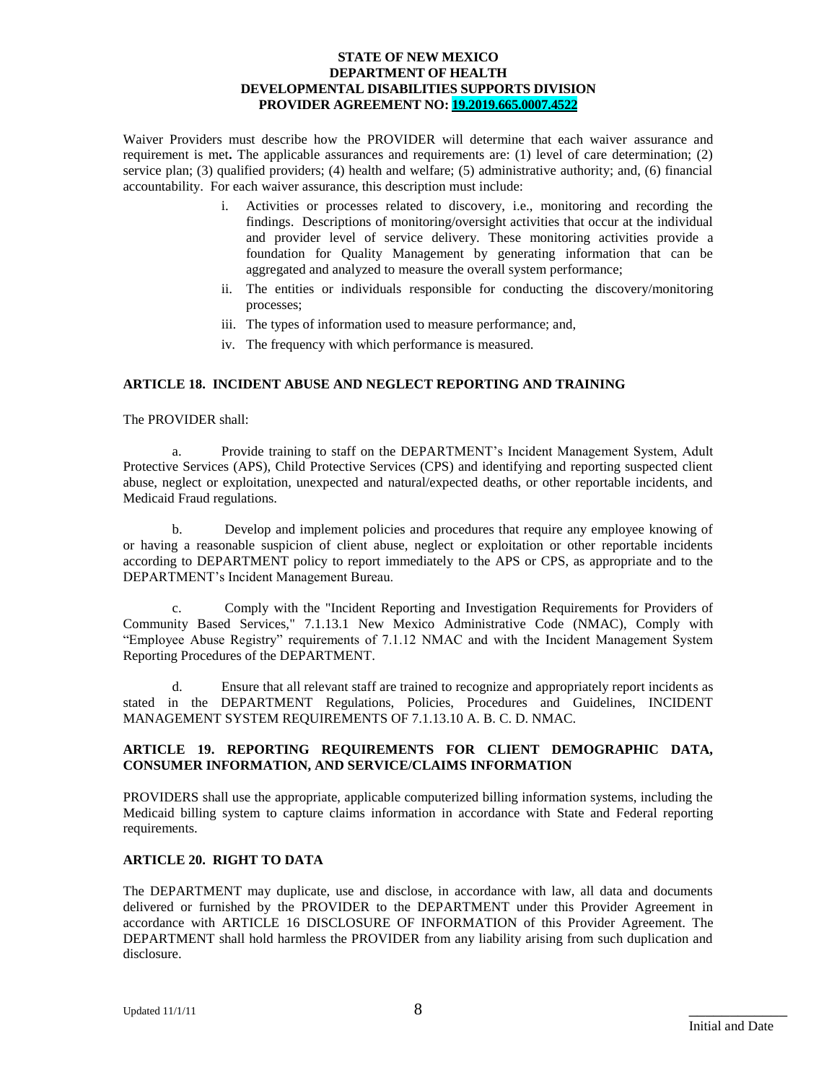Waiver Providers must describe how the PROVIDER will determine that each waiver assurance and requirement is met**.** The applicable assurances and requirements are: (1) level of care determination; (2) service plan; (3) qualified providers; (4) health and welfare; (5) administrative authority; and, (6) financial accountability. For each waiver assurance, this description must include:

- i. Activities or processes related to discovery, i.e., monitoring and recording the findings. Descriptions of monitoring/oversight activities that occur at the individual and provider level of service delivery. These monitoring activities provide a foundation for Quality Management by generating information that can be aggregated and analyzed to measure the overall system performance;
- ii. The entities or individuals responsible for conducting the discovery/monitoring processes;
- iii. The types of information used to measure performance; and,
- iv. The frequency with which performance is measured.

#### **ARTICLE 18. INCIDENT ABUSE AND NEGLECT REPORTING AND TRAINING**

The PROVIDER shall:

a. Provide training to staff on the DEPARTMENT's Incident Management System, Adult Protective Services (APS), Child Protective Services (CPS) and identifying and reporting suspected client abuse, neglect or exploitation, unexpected and natural/expected deaths, or other reportable incidents, and Medicaid Fraud regulations.

b. Develop and implement policies and procedures that require any employee knowing of or having a reasonable suspicion of client abuse, neglect or exploitation or other reportable incidents according to DEPARTMENT policy to report immediately to the APS or CPS, as appropriate and to the DEPARTMENT's Incident Management Bureau.

c. Comply with the "Incident Reporting and Investigation Requirements for Providers of Community Based Services," 7.1.13.1 New Mexico Administrative Code (NMAC), Comply with "Employee Abuse Registry" requirements of 7.1.12 NMAC and with the Incident Management System Reporting Procedures of the DEPARTMENT.

d. Ensure that all relevant staff are trained to recognize and appropriately report incidents as stated in the DEPARTMENT Regulations, Policies, Procedures and Guidelines, INCIDENT MANAGEMENT SYSTEM REQUIREMENTS OF 7.1.13.10 A. B. C. D. NMAC.

#### **ARTICLE 19. REPORTING REQUIREMENTS FOR CLIENT DEMOGRAPHIC DATA, CONSUMER INFORMATION, AND SERVICE/CLAIMS INFORMATION**

PROVIDERS shall use the appropriate, applicable computerized billing information systems, including the Medicaid billing system to capture claims information in accordance with State and Federal reporting requirements.

#### **ARTICLE 20. RIGHT TO DATA**

The DEPARTMENT may duplicate, use and disclose, in accordance with law, all data and documents delivered or furnished by the PROVIDER to the DEPARTMENT under this Provider Agreement in accordance with ARTICLE 16 DISCLOSURE OF INFORMATION of this Provider Agreement. The DEPARTMENT shall hold harmless the PROVIDER from any liability arising from such duplication and disclosure.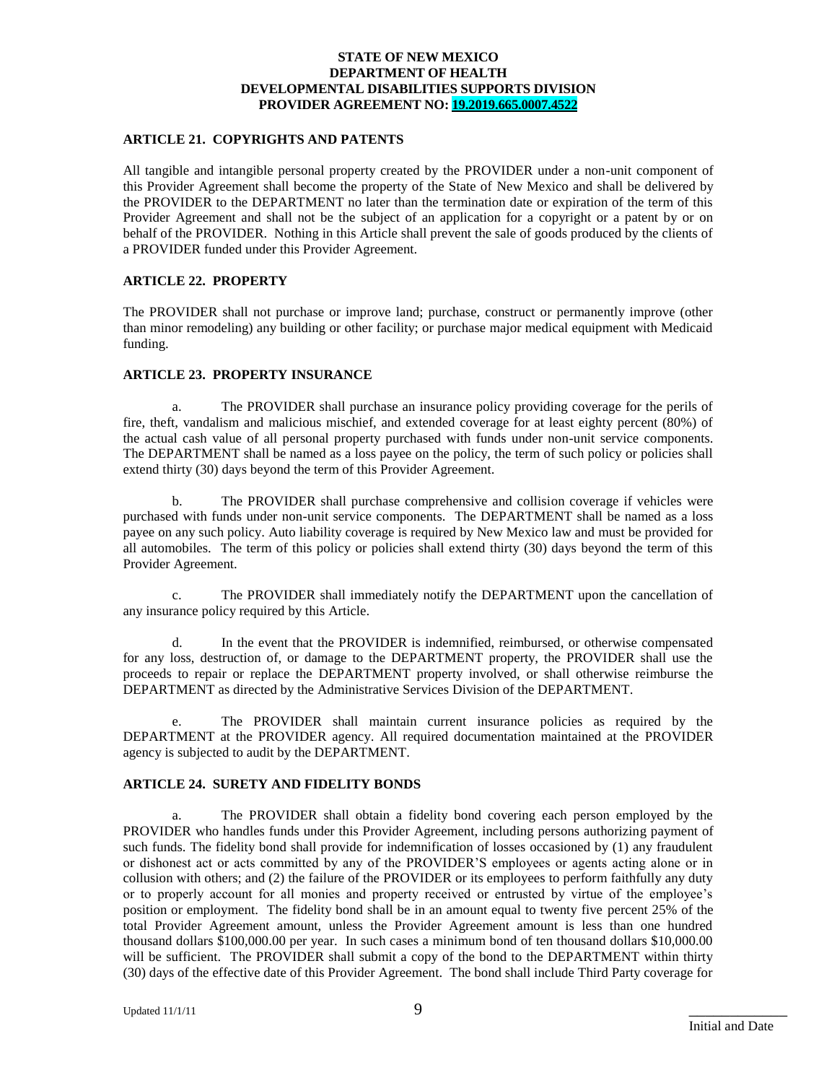#### **ARTICLE 21. COPYRIGHTS AND PATENTS**

All tangible and intangible personal property created by the PROVIDER under a non-unit component of this Provider Agreement shall become the property of the State of New Mexico and shall be delivered by the PROVIDER to the DEPARTMENT no later than the termination date or expiration of the term of this Provider Agreement and shall not be the subject of an application for a copyright or a patent by or on behalf of the PROVIDER. Nothing in this Article shall prevent the sale of goods produced by the clients of a PROVIDER funded under this Provider Agreement.

#### **ARTICLE 22. PROPERTY**

The PROVIDER shall not purchase or improve land; purchase, construct or permanently improve (other than minor remodeling) any building or other facility; or purchase major medical equipment with Medicaid funding.

#### **ARTICLE 23. PROPERTY INSURANCE**

a. The PROVIDER shall purchase an insurance policy providing coverage for the perils of fire, theft, vandalism and malicious mischief, and extended coverage for at least eighty percent (80%) of the actual cash value of all personal property purchased with funds under non-unit service components. The DEPARTMENT shall be named as a loss payee on the policy, the term of such policy or policies shall extend thirty (30) days beyond the term of this Provider Agreement.

b. The PROVIDER shall purchase comprehensive and collision coverage if vehicles were purchased with funds under non-unit service components. The DEPARTMENT shall be named as a loss payee on any such policy. Auto liability coverage is required by New Mexico law and must be provided for all automobiles. The term of this policy or policies shall extend thirty (30) days beyond the term of this Provider Agreement.

c. The PROVIDER shall immediately notify the DEPARTMENT upon the cancellation of any insurance policy required by this Article.

d. In the event that the PROVIDER is indemnified, reimbursed, or otherwise compensated for any loss, destruction of, or damage to the DEPARTMENT property, the PROVIDER shall use the proceeds to repair or replace the DEPARTMENT property involved, or shall otherwise reimburse the DEPARTMENT as directed by the Administrative Services Division of the DEPARTMENT.

e. The PROVIDER shall maintain current insurance policies as required by the DEPARTMENT at the PROVIDER agency. All required documentation maintained at the PROVIDER agency is subjected to audit by the DEPARTMENT.

#### **ARTICLE 24. SURETY AND FIDELITY BONDS**

a. The PROVIDER shall obtain a fidelity bond covering each person employed by the PROVIDER who handles funds under this Provider Agreement, including persons authorizing payment of such funds. The fidelity bond shall provide for indemnification of losses occasioned by (1) any fraudulent or dishonest act or acts committed by any of the PROVIDER'S employees or agents acting alone or in collusion with others; and (2) the failure of the PROVIDER or its employees to perform faithfully any duty or to properly account for all monies and property received or entrusted by virtue of the employee's position or employment. The fidelity bond shall be in an amount equal to twenty five percent 25% of the total Provider Agreement amount, unless the Provider Agreement amount is less than one hundred thousand dollars \$100,000.00 per year. In such cases a minimum bond of ten thousand dollars \$10,000.00 will be sufficient. The PROVIDER shall submit a copy of the bond to the DEPARTMENT within thirty (30) days of the effective date of this Provider Agreement. The bond shall include Third Party coverage for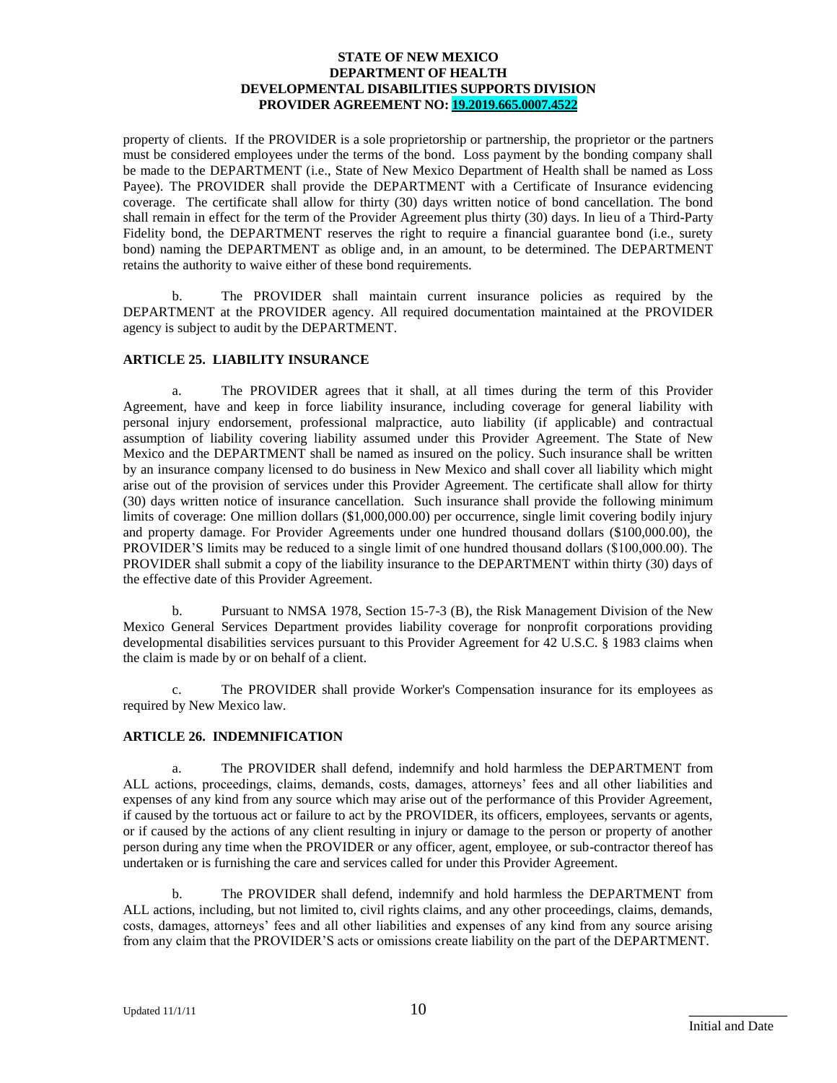property of clients. If the PROVIDER is a sole proprietorship or partnership, the proprietor or the partners must be considered employees under the terms of the bond. Loss payment by the bonding company shall be made to the DEPARTMENT (i.e., State of New Mexico Department of Health shall be named as Loss Payee). The PROVIDER shall provide the DEPARTMENT with a Certificate of Insurance evidencing coverage. The certificate shall allow for thirty (30) days written notice of bond cancellation. The bond shall remain in effect for the term of the Provider Agreement plus thirty (30) days. In lieu of a Third-Party Fidelity bond, the DEPARTMENT reserves the right to require a financial guarantee bond (i.e., surety bond) naming the DEPARTMENT as oblige and, in an amount, to be determined. The DEPARTMENT retains the authority to waive either of these bond requirements.

b. The PROVIDER shall maintain current insurance policies as required by the DEPARTMENT at the PROVIDER agency. All required documentation maintained at the PROVIDER agency is subject to audit by the DEPARTMENT.

#### **ARTICLE 25. LIABILITY INSURANCE**

a. The PROVIDER agrees that it shall, at all times during the term of this Provider Agreement, have and keep in force liability insurance, including coverage for general liability with personal injury endorsement, professional malpractice, auto liability (if applicable) and contractual assumption of liability covering liability assumed under this Provider Agreement. The State of New Mexico and the DEPARTMENT shall be named as insured on the policy. Such insurance shall be written by an insurance company licensed to do business in New Mexico and shall cover all liability which might arise out of the provision of services under this Provider Agreement. The certificate shall allow for thirty (30) days written notice of insurance cancellation. Such insurance shall provide the following minimum limits of coverage: One million dollars (\$1,000,000.00) per occurrence, single limit covering bodily injury and property damage. For Provider Agreements under one hundred thousand dollars (\$100,000.00), the PROVIDER'S limits may be reduced to a single limit of one hundred thousand dollars (\$100,000.00). The PROVIDER shall submit a copy of the liability insurance to the DEPARTMENT within thirty (30) days of the effective date of this Provider Agreement.

b. Pursuant to NMSA 1978, Section 15-7-3 (B), the Risk Management Division of the New Mexico General Services Department provides liability coverage for nonprofit corporations providing developmental disabilities services pursuant to this Provider Agreement for 42 U.S.C. § 1983 claims when the claim is made by or on behalf of a client.

c. The PROVIDER shall provide Worker's Compensation insurance for its employees as required by New Mexico law.

#### **ARTICLE 26. INDEMNIFICATION**

a. The PROVIDER shall defend, indemnify and hold harmless the DEPARTMENT from ALL actions, proceedings, claims, demands, costs, damages, attorneys' fees and all other liabilities and expenses of any kind from any source which may arise out of the performance of this Provider Agreement, if caused by the tortuous act or failure to act by the PROVIDER, its officers, employees, servants or agents, or if caused by the actions of any client resulting in injury or damage to the person or property of another person during any time when the PROVIDER or any officer, agent, employee, or sub-contractor thereof has undertaken or is furnishing the care and services called for under this Provider Agreement.

b. The PROVIDER shall defend, indemnify and hold harmless the DEPARTMENT from ALL actions, including, but not limited to, civil rights claims, and any other proceedings, claims, demands, costs, damages, attorneys' fees and all other liabilities and expenses of any kind from any source arising from any claim that the PROVIDER'S acts or omissions create liability on the part of the DEPARTMENT.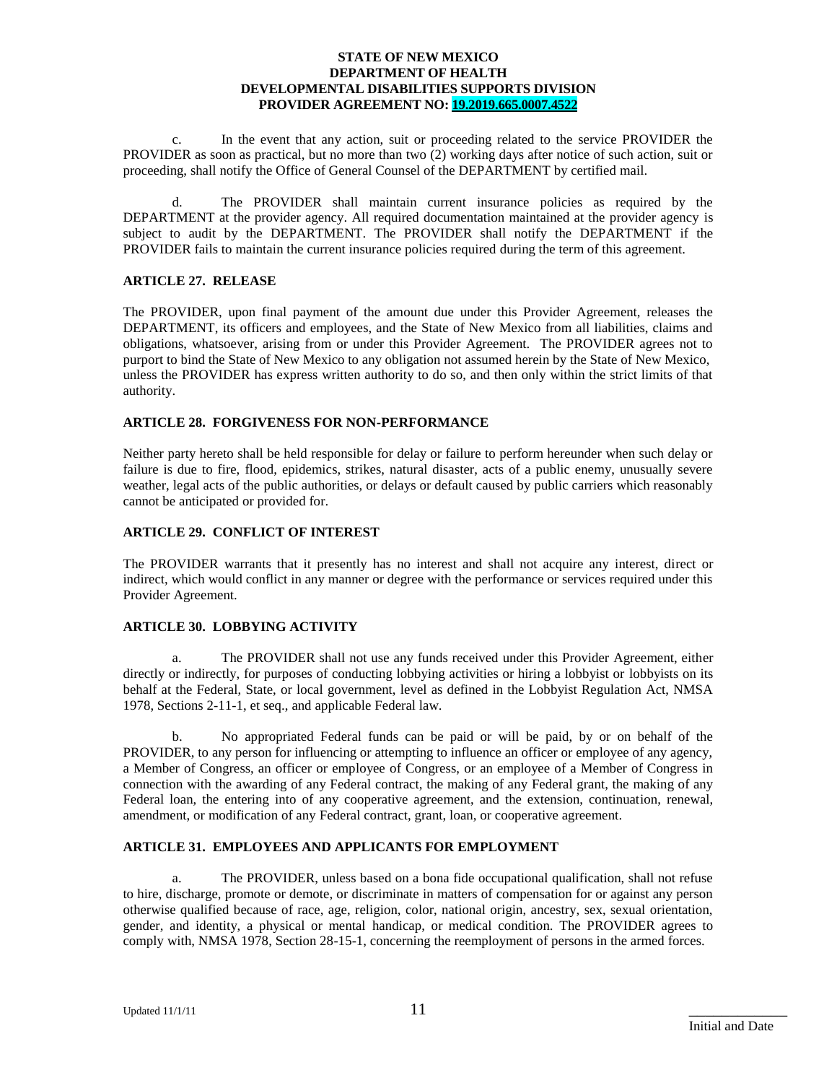c. In the event that any action, suit or proceeding related to the service PROVIDER the PROVIDER as soon as practical, but no more than two (2) working days after notice of such action, suit or proceeding, shall notify the Office of General Counsel of the DEPARTMENT by certified mail.

The PROVIDER shall maintain current insurance policies as required by the DEPARTMENT at the provider agency. All required documentation maintained at the provider agency is subject to audit by the DEPARTMENT. The PROVIDER shall notify the DEPARTMENT if the PROVIDER fails to maintain the current insurance policies required during the term of this agreement.

#### **ARTICLE 27. RELEASE**

The PROVIDER, upon final payment of the amount due under this Provider Agreement, releases the DEPARTMENT, its officers and employees, and the State of New Mexico from all liabilities, claims and obligations, whatsoever, arising from or under this Provider Agreement. The PROVIDER agrees not to purport to bind the State of New Mexico to any obligation not assumed herein by the State of New Mexico, unless the PROVIDER has express written authority to do so, and then only within the strict limits of that authority.

#### **ARTICLE 28. FORGIVENESS FOR NON-PERFORMANCE**

Neither party hereto shall be held responsible for delay or failure to perform hereunder when such delay or failure is due to fire, flood, epidemics, strikes, natural disaster, acts of a public enemy, unusually severe weather, legal acts of the public authorities, or delays or default caused by public carriers which reasonably cannot be anticipated or provided for.

#### **ARTICLE 29. CONFLICT OF INTEREST**

The PROVIDER warrants that it presently has no interest and shall not acquire any interest, direct or indirect, which would conflict in any manner or degree with the performance or services required under this Provider Agreement.

#### **ARTICLE 30. LOBBYING ACTIVITY**

a. The PROVIDER shall not use any funds received under this Provider Agreement, either directly or indirectly, for purposes of conducting lobbying activities or hiring a lobbyist or lobbyists on its behalf at the Federal, State, or local government, level as defined in the Lobbyist Regulation Act, NMSA 1978, Sections 2-11-1, et seq., and applicable Federal law.

b. No appropriated Federal funds can be paid or will be paid, by or on behalf of the PROVIDER, to any person for influencing or attempting to influence an officer or employee of any agency, a Member of Congress, an officer or employee of Congress, or an employee of a Member of Congress in connection with the awarding of any Federal contract, the making of any Federal grant, the making of any Federal loan, the entering into of any cooperative agreement, and the extension, continuation, renewal, amendment, or modification of any Federal contract, grant, loan, or cooperative agreement.

#### **ARTICLE 31. EMPLOYEES AND APPLICANTS FOR EMPLOYMENT**

a. The PROVIDER, unless based on a bona fide occupational qualification, shall not refuse to hire, discharge, promote or demote, or discriminate in matters of compensation for or against any person otherwise qualified because of race, age, religion, color, national origin, ancestry, sex, sexual orientation, gender, and identity, a physical or mental handicap, or medical condition. The PROVIDER agrees to comply with, NMSA 1978, Section 28-15-1, concerning the reemployment of persons in the armed forces.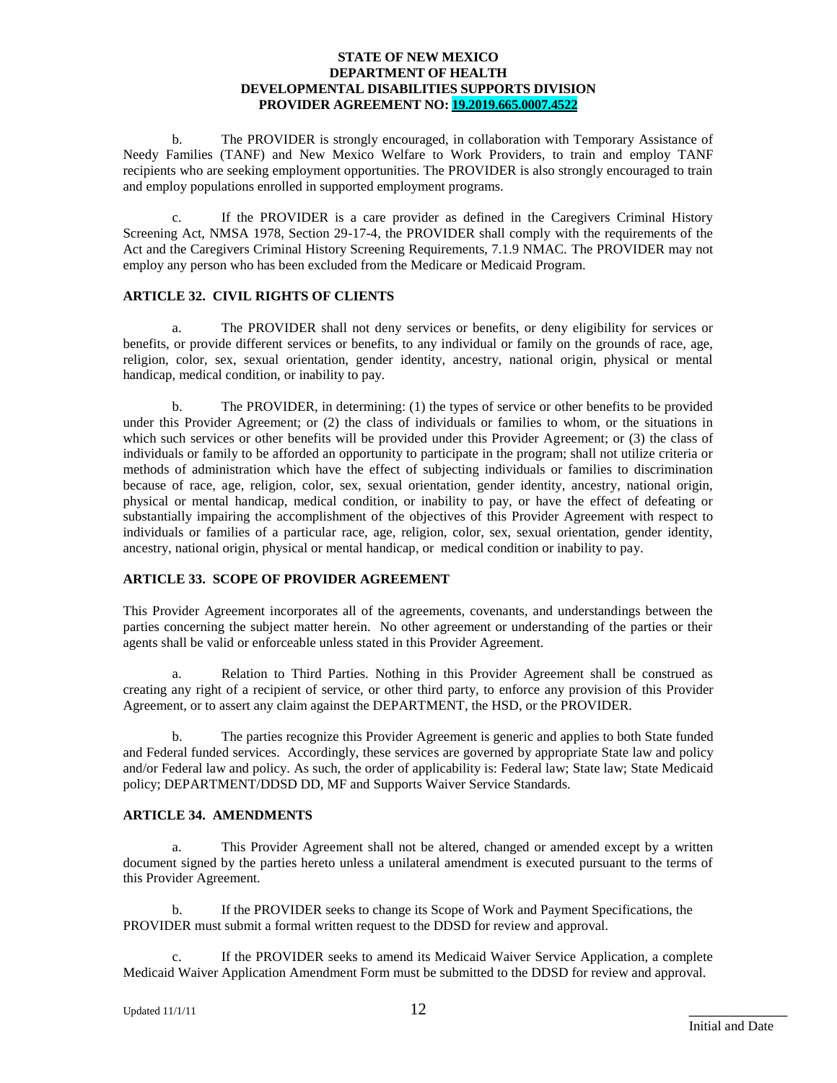b. The PROVIDER is strongly encouraged, in collaboration with Temporary Assistance of Needy Families (TANF) and New Mexico Welfare to Work Providers, to train and employ TANF recipients who are seeking employment opportunities. The PROVIDER is also strongly encouraged to train and employ populations enrolled in supported employment programs.

c. If the PROVIDER is a care provider as defined in the Caregivers Criminal History Screening Act, NMSA 1978, Section 29-17-4, the PROVIDER shall comply with the requirements of the Act and the Caregivers Criminal History Screening Requirements, 7.1.9 NMAC. The PROVIDER may not employ any person who has been excluded from the Medicare or Medicaid Program.

#### **ARTICLE 32. CIVIL RIGHTS OF CLIENTS**

a. The PROVIDER shall not deny services or benefits, or deny eligibility for services or benefits, or provide different services or benefits, to any individual or family on the grounds of race, age, religion, color, sex, sexual orientation, gender identity, ancestry, national origin, physical or mental handicap, medical condition, or inability to pay.

b. The PROVIDER, in determining: (1) the types of service or other benefits to be provided under this Provider Agreement; or (2) the class of individuals or families to whom, or the situations in which such services or other benefits will be provided under this Provider Agreement; or (3) the class of individuals or family to be afforded an opportunity to participate in the program; shall not utilize criteria or methods of administration which have the effect of subjecting individuals or families to discrimination because of race, age, religion, color, sex, sexual orientation, gender identity, ancestry, national origin, physical or mental handicap, medical condition, or inability to pay, or have the effect of defeating or substantially impairing the accomplishment of the objectives of this Provider Agreement with respect to individuals or families of a particular race, age, religion, color, sex, sexual orientation, gender identity, ancestry, national origin, physical or mental handicap, or medical condition or inability to pay.

### **ARTICLE 33. SCOPE OF PROVIDER AGREEMENT**

This Provider Agreement incorporates all of the agreements, covenants, and understandings between the parties concerning the subject matter herein. No other agreement or understanding of the parties or their agents shall be valid or enforceable unless stated in this Provider Agreement.

a. Relation to Third Parties. Nothing in this Provider Agreement shall be construed as creating any right of a recipient of service, or other third party, to enforce any provision of this Provider Agreement, or to assert any claim against the DEPARTMENT, the HSD, or the PROVIDER.

b. The parties recognize this Provider Agreement is generic and applies to both State funded and Federal funded services. Accordingly, these services are governed by appropriate State law and policy and/or Federal law and policy. As such, the order of applicability is: Federal law; State law; State Medicaid policy; DEPARTMENT/DDSD DD, MF and Supports Waiver Service Standards.

#### **ARTICLE 34. AMENDMENTS**

a. This Provider Agreement shall not be altered, changed or amended except by a written document signed by the parties hereto unless a unilateral amendment is executed pursuant to the terms of this Provider Agreement.

b. If the PROVIDER seeks to change its Scope of Work and Payment Specifications, the PROVIDER must submit a formal written request to the DDSD for review and approval.

c. If the PROVIDER seeks to amend its Medicaid Waiver Service Application, a complete Medicaid Waiver Application Amendment Form must be submitted to the DDSD for review and approval.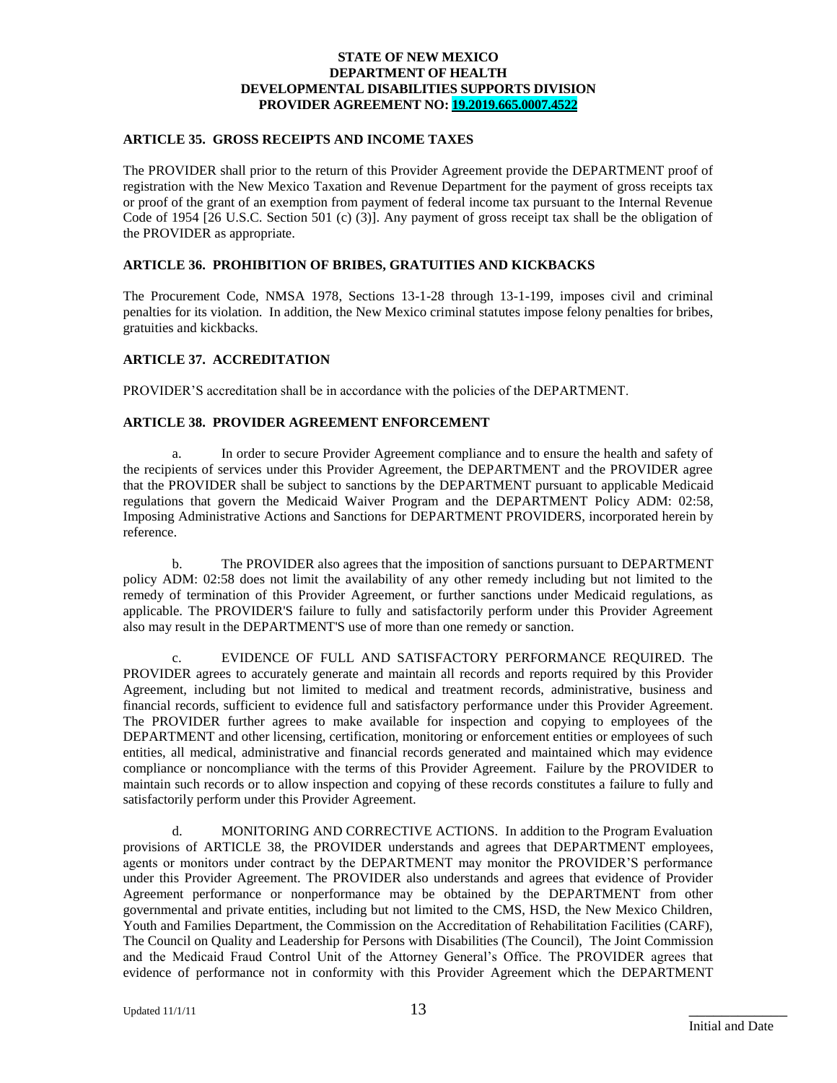#### **ARTICLE 35. GROSS RECEIPTS AND INCOME TAXES**

The PROVIDER shall prior to the return of this Provider Agreement provide the DEPARTMENT proof of registration with the New Mexico Taxation and Revenue Department for the payment of gross receipts tax or proof of the grant of an exemption from payment of federal income tax pursuant to the Internal Revenue Code of 1954 [26 U.S.C. Section 501 (c) (3)]. Any payment of gross receipt tax shall be the obligation of the PROVIDER as appropriate.

#### **ARTICLE 36. PROHIBITION OF BRIBES, GRATUITIES AND KICKBACKS**

The Procurement Code, NMSA 1978, Sections 13-1-28 through 13-1-199, imposes civil and criminal penalties for its violation. In addition, the New Mexico criminal statutes impose felony penalties for bribes, gratuities and kickbacks.

#### **ARTICLE 37. ACCREDITATION**

PROVIDER'S accreditation shall be in accordance with the policies of the DEPARTMENT.

### **ARTICLE 38. PROVIDER AGREEMENT ENFORCEMENT**

a. In order to secure Provider Agreement compliance and to ensure the health and safety of the recipients of services under this Provider Agreement, the DEPARTMENT and the PROVIDER agree that the PROVIDER shall be subject to sanctions by the DEPARTMENT pursuant to applicable Medicaid regulations that govern the Medicaid Waiver Program and the DEPARTMENT Policy ADM: 02:58, Imposing Administrative Actions and Sanctions for DEPARTMENT PROVIDERS, incorporated herein by reference.

b. The PROVIDER also agrees that the imposition of sanctions pursuant to DEPARTMENT policy ADM: 02:58 does not limit the availability of any other remedy including but not limited to the remedy of termination of this Provider Agreement, or further sanctions under Medicaid regulations, as applicable. The PROVIDER'S failure to fully and satisfactorily perform under this Provider Agreement also may result in the DEPARTMENT'S use of more than one remedy or sanction.

c. EVIDENCE OF FULL AND SATISFACTORY PERFORMANCE REQUIRED. The PROVIDER agrees to accurately generate and maintain all records and reports required by this Provider Agreement, including but not limited to medical and treatment records, administrative, business and financial records, sufficient to evidence full and satisfactory performance under this Provider Agreement. The PROVIDER further agrees to make available for inspection and copying to employees of the DEPARTMENT and other licensing, certification, monitoring or enforcement entities or employees of such entities, all medical, administrative and financial records generated and maintained which may evidence compliance or noncompliance with the terms of this Provider Agreement. Failure by the PROVIDER to maintain such records or to allow inspection and copying of these records constitutes a failure to fully and satisfactorily perform under this Provider Agreement.

d. MONITORING AND CORRECTIVE ACTIONS. In addition to the Program Evaluation provisions of ARTICLE 38, the PROVIDER understands and agrees that DEPARTMENT employees, agents or monitors under contract by the DEPARTMENT may monitor the PROVIDER'S performance under this Provider Agreement. The PROVIDER also understands and agrees that evidence of Provider Agreement performance or nonperformance may be obtained by the DEPARTMENT from other governmental and private entities, including but not limited to the CMS, HSD, the New Mexico Children, Youth and Families Department, the Commission on the Accreditation of Rehabilitation Facilities (CARF), The Council on Quality and Leadership for Persons with Disabilities (The Council), The Joint Commission and the Medicaid Fraud Control Unit of the Attorney General's Office. The PROVIDER agrees that evidence of performance not in conformity with this Provider Agreement which the DEPARTMENT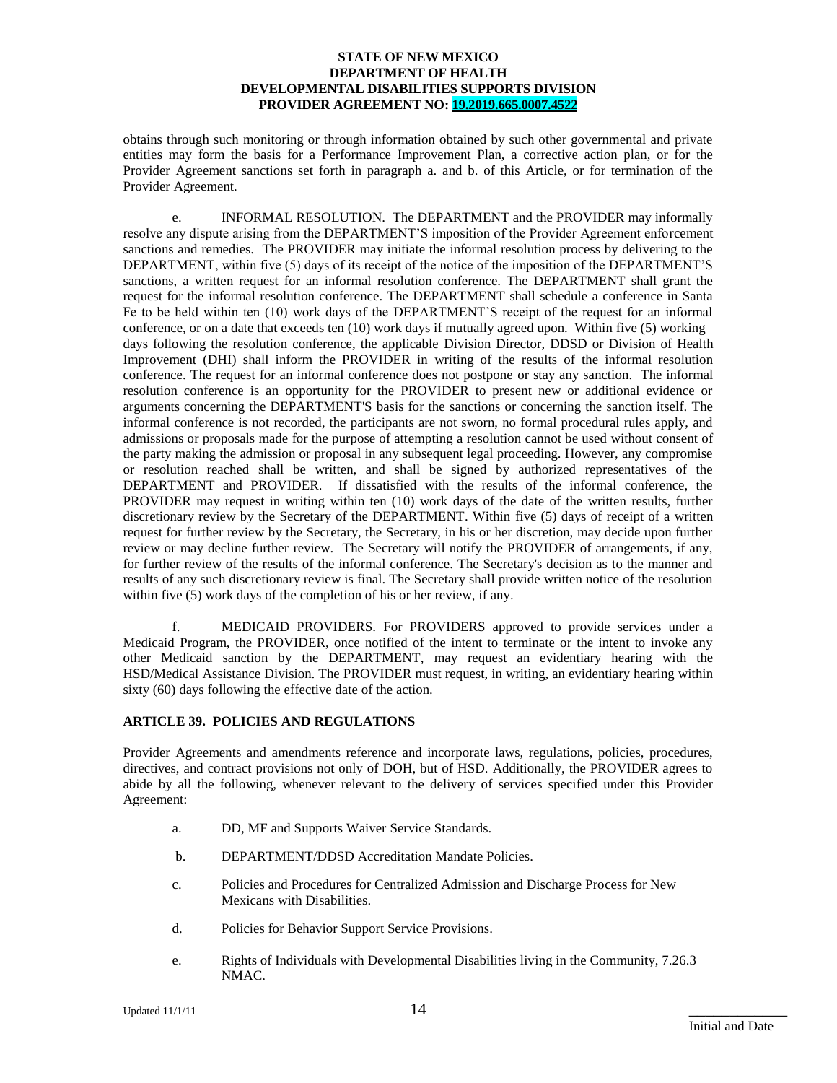obtains through such monitoring or through information obtained by such other governmental and private entities may form the basis for a Performance Improvement Plan, a corrective action plan, or for the Provider Agreement sanctions set forth in paragraph a. and b. of this Article, or for termination of the Provider Agreement.

e. INFORMAL RESOLUTION. The DEPARTMENT and the PROVIDER may informally resolve any dispute arising from the DEPARTMENT'S imposition of the Provider Agreement enforcement sanctions and remedies. The PROVIDER may initiate the informal resolution process by delivering to the DEPARTMENT, within five (5) days of its receipt of the notice of the imposition of the DEPARTMENT'S sanctions, a written request for an informal resolution conference. The DEPARTMENT shall grant the request for the informal resolution conference. The DEPARTMENT shall schedule a conference in Santa Fe to be held within ten (10) work days of the DEPARTMENT'S receipt of the request for an informal conference, or on a date that exceeds ten (10) work days if mutually agreed upon. Within five (5) working days following the resolution conference, the applicable Division Director, DDSD or Division of Health Improvement (DHI) shall inform the PROVIDER in writing of the results of the informal resolution conference. The request for an informal conference does not postpone or stay any sanction. The informal resolution conference is an opportunity for the PROVIDER to present new or additional evidence or arguments concerning the DEPARTMENT'S basis for the sanctions or concerning the sanction itself. The informal conference is not recorded, the participants are not sworn, no formal procedural rules apply, and admissions or proposals made for the purpose of attempting a resolution cannot be used without consent of the party making the admission or proposal in any subsequent legal proceeding. However, any compromise or resolution reached shall be written, and shall be signed by authorized representatives of the DEPARTMENT and PROVIDER. If dissatisfied with the results of the informal conference, the PROVIDER may request in writing within ten (10) work days of the date of the written results, further discretionary review by the Secretary of the DEPARTMENT. Within five (5) days of receipt of a written request for further review by the Secretary, the Secretary, in his or her discretion, may decide upon further review or may decline further review. The Secretary will notify the PROVIDER of arrangements, if any, for further review of the results of the informal conference. The Secretary's decision as to the manner and results of any such discretionary review is final. The Secretary shall provide written notice of the resolution within five (5) work days of the completion of his or her review, if any.

f. MEDICAID PROVIDERS. For PROVIDERS approved to provide services under a Medicaid Program, the PROVIDER, once notified of the intent to terminate or the intent to invoke any other Medicaid sanction by the DEPARTMENT, may request an evidentiary hearing with the HSD/Medical Assistance Division. The PROVIDER must request, in writing, an evidentiary hearing within sixty (60) days following the effective date of the action.

#### **ARTICLE 39. POLICIES AND REGULATIONS**

Provider Agreements and amendments reference and incorporate laws, regulations, policies, procedures, directives, and contract provisions not only of DOH, but of HSD. Additionally, the PROVIDER agrees to abide by all the following, whenever relevant to the delivery of services specified under this Provider Agreement:

- a. DD, MF and Supports Waiver Service Standards.
- b. DEPARTMENT/DDSD Accreditation Mandate Policies.
- c. Policies and Procedures for Centralized Admission and Discharge Process for New Mexicans with Disabilities.
- d. Policies for Behavior Support Service Provisions.
- e. Rights of Individuals with Developmental Disabilities living in the Community, 7.26.3 NMAC.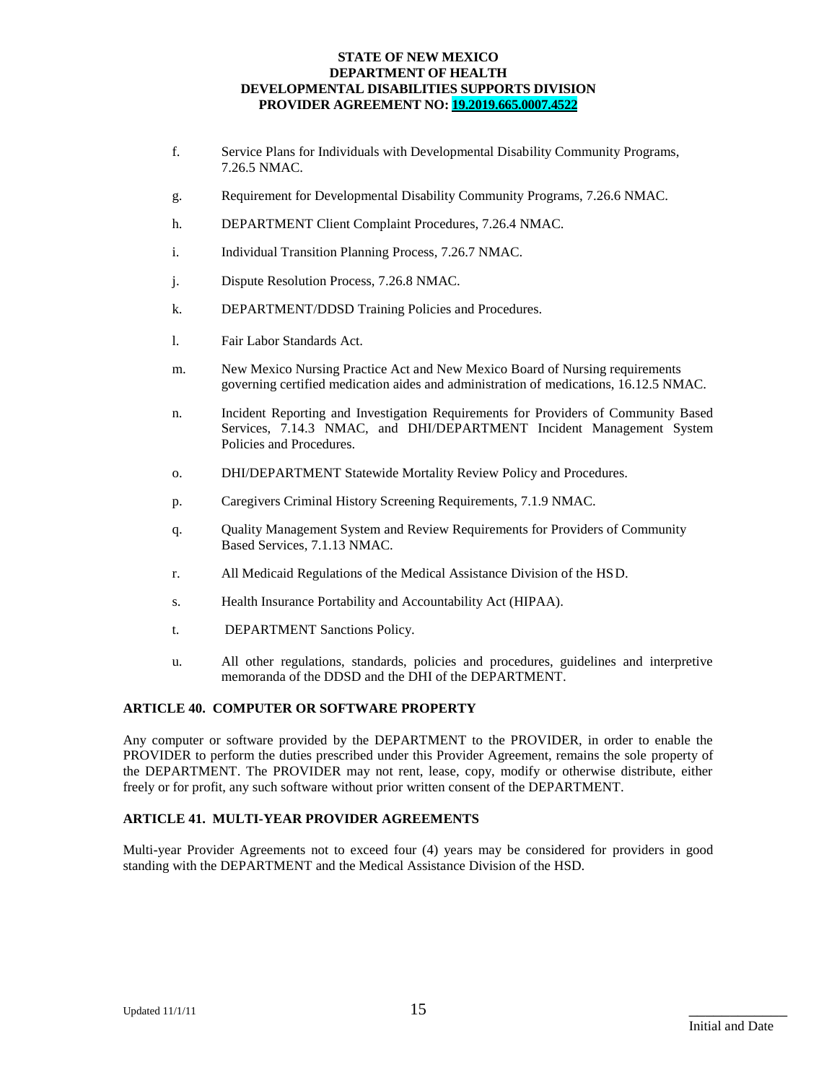- f. Service Plans for Individuals with Developmental Disability Community Programs, 7.26.5 NMAC.
- g. Requirement for Developmental Disability Community Programs, 7.26.6 NMAC.
- h. DEPARTMENT Client Complaint Procedures, 7.26.4 NMAC.
- i. Individual Transition Planning Process, 7.26.7 NMAC.
- j. Dispute Resolution Process, 7.26.8 NMAC.
- k. DEPARTMENT/DDSD Training Policies and Procedures.
- l. Fair Labor Standards Act.
- m. New Mexico Nursing Practice Act and New Mexico Board of Nursing requirements governing certified medication aides and administration of medications, 16.12.5 NMAC.
- n. Incident Reporting and Investigation Requirements for Providers of Community Based Services, 7.14.3 NMAC, and DHI/DEPARTMENT Incident Management System Policies and Procedures.
- o. DHI/DEPARTMENT Statewide Mortality Review Policy and Procedures.
- p. Caregivers Criminal History Screening Requirements, 7.1.9 NMAC.
- q. Quality Management System and Review Requirements for Providers of Community Based Services, 7.1.13 NMAC.
- r. All Medicaid Regulations of the Medical Assistance Division of the HSD.
- s. Health Insurance Portability and Accountability Act (HIPAA).
- t. DEPARTMENT Sanctions Policy.
- u. All other regulations, standards, policies and procedures, guidelines and interpretive memoranda of the DDSD and the DHI of the DEPARTMENT.

#### **ARTICLE 40. COMPUTER OR SOFTWARE PROPERTY**

Any computer or software provided by the DEPARTMENT to the PROVIDER, in order to enable the PROVIDER to perform the duties prescribed under this Provider Agreement, remains the sole property of the DEPARTMENT. The PROVIDER may not rent, lease, copy, modify or otherwise distribute, either freely or for profit, any such software without prior written consent of the DEPARTMENT.

#### **ARTICLE 41. MULTI-YEAR PROVIDER AGREEMENTS**

Multi-year Provider Agreements not to exceed four (4) years may be considered for providers in good standing with the DEPARTMENT and the Medical Assistance Division of the HSD.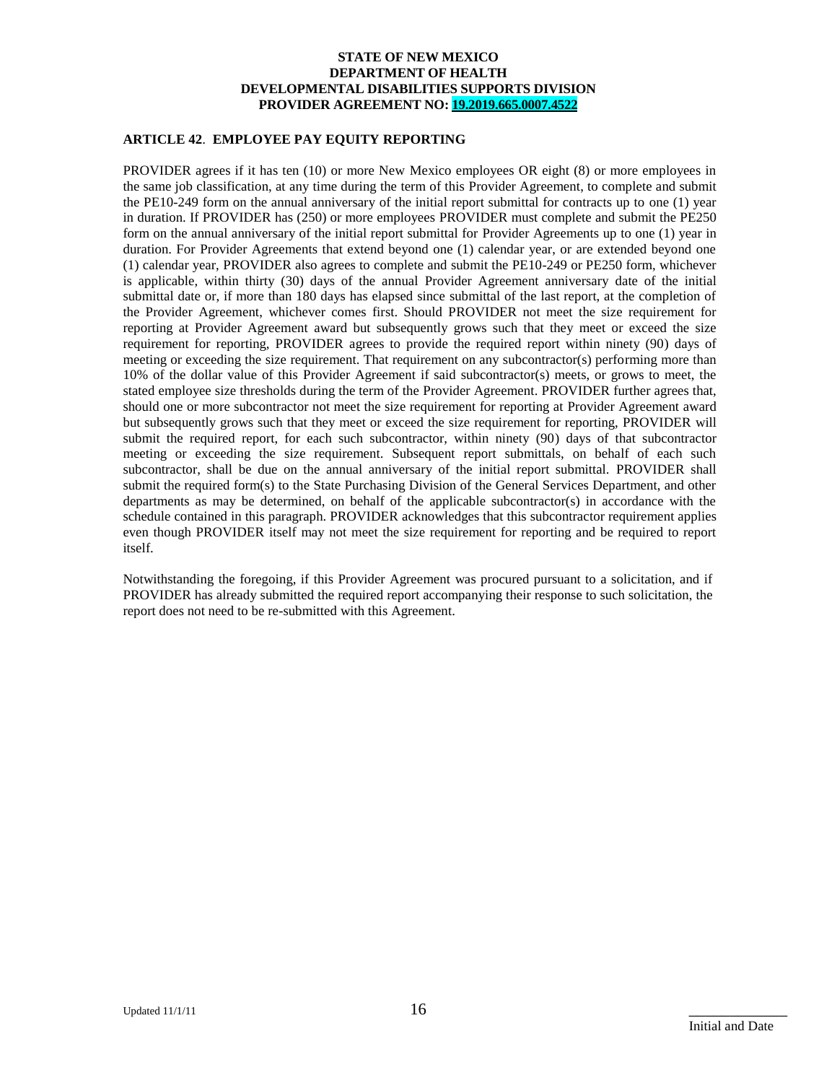#### **ARTICLE 42**. **EMPLOYEE PAY EQUITY REPORTING**

PROVIDER agrees if it has ten (10) or more New Mexico employees OR eight (8) or more employees in the same job classification, at any time during the term of this Provider Agreement, to complete and submit the PE10-249 form on the annual anniversary of the initial report submittal for contracts up to one (1) year in duration. If PROVIDER has (250) or more employees PROVIDER must complete and submit the PE250 form on the annual anniversary of the initial report submittal for Provider Agreements up to one (1) year in duration. For Provider Agreements that extend beyond one (1) calendar year, or are extended beyond one (1) calendar year, PROVIDER also agrees to complete and submit the PE10-249 or PE250 form, whichever is applicable, within thirty (30) days of the annual Provider Agreement anniversary date of the initial submittal date or, if more than 180 days has elapsed since submittal of the last report, at the completion of the Provider Agreement, whichever comes first. Should PROVIDER not meet the size requirement for reporting at Provider Agreement award but subsequently grows such that they meet or exceed the size requirement for reporting, PROVIDER agrees to provide the required report within ninety (90) days of meeting or exceeding the size requirement. That requirement on any subcontractor(s) performing more than 10% of the dollar value of this Provider Agreement if said subcontractor(s) meets, or grows to meet, the stated employee size thresholds during the term of the Provider Agreement. PROVIDER further agrees that, should one or more subcontractor not meet the size requirement for reporting at Provider Agreement award but subsequently grows such that they meet or exceed the size requirement for reporting, PROVIDER will submit the required report, for each such subcontractor, within ninety (90) days of that subcontractor meeting or exceeding the size requirement. Subsequent report submittals, on behalf of each such subcontractor, shall be due on the annual anniversary of the initial report submittal. PROVIDER shall submit the required form(s) to the State Purchasing Division of the General Services Department, and other departments as may be determined, on behalf of the applicable subcontractor(s) in accordance with the schedule contained in this paragraph. PROVIDER acknowledges that this subcontractor requirement applies even though PROVIDER itself may not meet the size requirement for reporting and be required to report itself.

Notwithstanding the foregoing, if this Provider Agreement was procured pursuant to a solicitation, and if PROVIDER has already submitted the required report accompanying their response to such solicitation, the report does not need to be re-submitted with this Agreement.